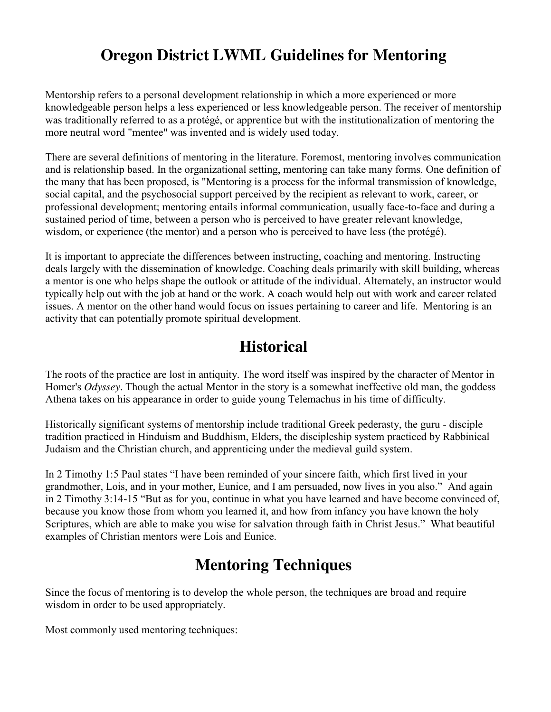# **Oregon District LWML Guidelines for Mentoring**

Mentorship refers to a personal development relationship in which a more experienced or more knowledgeable person helps a less experienced or less knowledgeable person. The receiver of mentorship was traditionally referred to as a protégé, or apprentice but with the institutionalization of mentoring the more neutral word "mentee" was invented and is widely used today.

There are several definitions of mentoring in the literature. Foremost, mentoring involves communication and is relationship based. In the organizational setting, mentoring can take many forms. One definition of the many that has been proposed, is "Mentoring is a process for the informal transmission of knowledge, social capital, and the psychosocial support perceived by the recipient as relevant to work, career, or professional development; mentoring entails informal communication, usually face-to-face and during a sustained period of time, between a person who is perceived to have greater relevant knowledge, wisdom, or experience (the mentor) and a person who is perceived to have less (the protégé).

It is important to appreciate the differences between instructing, coaching and mentoring. Instructing deals largely with the dissemination of knowledge. Coaching deals primarily with skill building, whereas a mentor is one who helps shape the outlook or attitude of the individual. Alternately, an instructor would typically help out with the job at hand or the work. A coach would help out with work and career related issues. A mentor on the other hand would focus on issues pertaining to career and life. Mentoring is an activity that can potentially promote spiritual development.

#### **Historical**

The roots of the practice are lost in antiquity. The word itself was inspired by the character of Mentor in Homer's *Odyssey*. Though the actual Mentor in the story is a somewhat ineffective old man, the goddess Athena takes on his appearance in order to guide young Telemachus in his time of difficulty.

Historically significant systems of mentorship include traditional Greek pederasty, the guru - disciple tradition practiced in Hinduism and Buddhism, Elders, the discipleship system practiced by Rabbinical Judaism and the Christian church, and apprenticing under the medieval guild system.

In 2 Timothy 1:5 Paul states "I have been reminded of your sincere faith, which first lived in your grandmother, Lois, and in your mother, Eunice, and I am persuaded, now lives in you also." And again in 2 Timothy 3:14-15 "But as for you, continue in what you have learned and have become convinced of, because you know those from whom you learned it, and how from infancy you have known the holy Scriptures, which are able to make you wise for salvation through faith in Christ Jesus." What beautiful examples of Christian mentors were Lois and Eunice.

# **Mentoring Techniques**

Since the focus of mentoring is to develop the whole person, the techniques are broad and require wisdom in order to be used appropriately.

Most commonly used mentoring techniques: